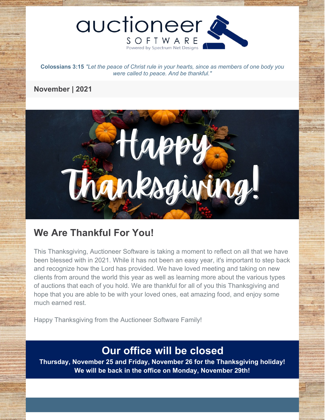

**Colossians 3:15** *"Let the peace of Christ rule in your hearts, since as members of one body you were called to peace. And be thankful."*

## **November | 2021**



# **We Are Thankful For You!**

This Thanksgiving, Auctioneer Software is taking a moment to reflect on all that we have been blessed with in 2021. While it has not been an easy year, it's important to step back and recognize how the Lord has provided. We have loved meeting and taking on new clients from around the world this year as well as learning more about the various types of auctions that each of you hold. We are thankful for all of you this Thanksgiving and hope that you are able to be with your loved ones, eat amazing food, and enjoy some much earned rest.

Happy Thanksgiving from the Auctioneer Software Family!

# **Our office will be closed**

**Thursday, November 25 and Friday, November 26 for the Thanksgiving holiday! We will be back in the office on Monday, November 29th!**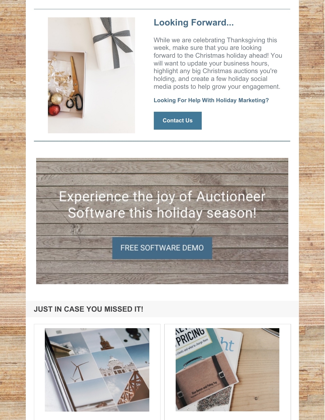

# **Looking Forward...**

While we are celebrating Thanksgiving this week, make sure that you are looking forward to the Christmas holiday ahead! You will want to update your business hours, highlight any big Christmas auctions you're holding, and create a few holiday social media posts to help grow your engagement.

#### **Looking For Help With Holiday Marketing?**

**[Contact](https://www.auctioneersoftware.com/contact-us/) Us**



## **JUST IN CASE YOU MISSED IT!**